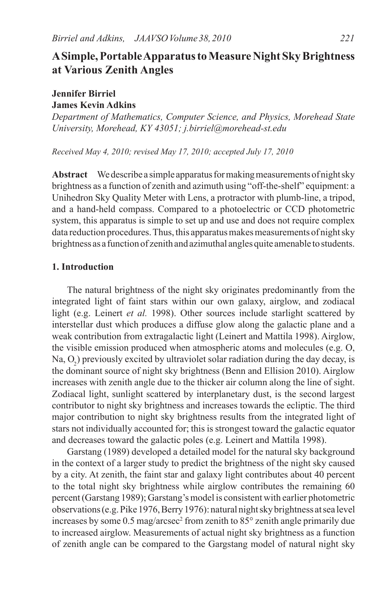# **A Simple, Portable Apparatus to Measure Night Sky Brightness at Various Zenith Angles**

## **Jennifer Birriel James Kevin Adkins**

*Department of Mathematics, Computer Science, and Physics, Morehead State University, Morehead, KY 43051; j.birriel@morehead-st.edu*

*Received May 4, 2010; revised May 17, 2010; accepted July 17, 2010*

**Abstract** We describe a simple apparatus for making measurements of night sky brightness as a function of zenith and azimuth using "off-the-shelf" equipment: a Unihedron Sky Quality Meter with Lens, a protractor with plumb-line, a tripod, and a hand-held compass. Compared to a photoelectric or CCD photometric system, this apparatus is simple to set up and use and does not require complex data reduction procedures. Thus, this apparatus makes measurements of night sky brightness as a function of zenith and azimuthal angles quite amenable to students.

## **1. Introduction**

The natural brightness of the night sky originates predominantly from the integrated light of faint stars within our own galaxy, airglow, and zodiacal light (e.g. Leinert *et al.* 1998). Other sources include starlight scattered by interstellar dust which produces a diffuse glow along the galactic plane and a weak contribution from extragalactic light (Leinert and Mattila 1998). Airglow, the visible emission produced when atmospheric atoms and molecules (e.g. O, Na,  $O_2$ ) previously excited by ultraviolet solar radiation during the day decay, is the dominant source of night sky brightness (Benn and Ellision 2010). Airglow increases with zenith angle due to the thicker air column along the line of sight. Zodiacal light, sunlight scattered by interplanetary dust, is the second largest contributor to night sky brightness and increases towards the ecliptic. The third major contribution to night sky brightness results from the integrated light of stars not individually accounted for; this is strongest toward the galactic equator and decreases toward the galactic poles (e.g. Leinert and Mattila 1998).

Garstang (1989) developed a detailed model for the natural sky background in the context of a larger study to predict the brightness of the night sky caused by a city. At zenith, the faint star and galaxy light contributes about 40 percent to the total night sky brightness while airglow contributes the remaining 60 percent (Garstang 1989); Garstang's model is consistent with earlier photometric observations (e.g. Pike 1976, Berry 1976): natural night sky brightness at sea level increases by some  $0.5$  mag/arcsec<sup>2</sup> from zenith to  $85^\circ$  zenith angle primarily due to increased airglow. Measurements of actual night sky brightness as a function of zenith angle can be compared to the Gargstang model of natural night sky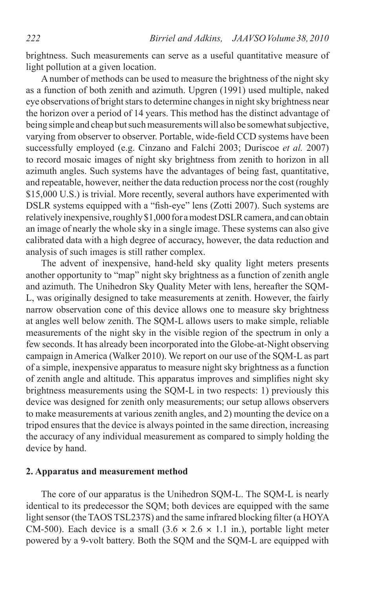brightness. Such measurements can serve as a useful quantitative measure of light pollution at a given location.

A number of methods can be used to measure the brightness of the night sky as a function of both zenith and azimuth. Upgren (1991) used multiple, naked eye observations of bright stars to determine changes in night sky brightness near the horizon over a period of 14 years. This method has the distinct advantage of being simple and cheap but such measurements will also be somewhat subjective, varying from observer to observer. Portable, wide-field CCD systems have been successfully employed (e.g. Cinzano and Falchi 2003; Duriscoe *et al.* 2007) to record mosaic images of night sky brightness from zenith to horizon in all azimuth angles. Such systems have the advantages of being fast, quantitative, and repeatable, however, neither the data reduction process nor the cost (roughly \$15,000 U.S.) is trivial. More recently, several authors have experimented with DSLR systems equipped with a "fish-eye" lens (Zotti 2007). Such systems are relatively inexpensive, roughly \$1,000 for a modest DSLR camera, and can obtain an image of nearly the whole sky in a single image. These systems can also give calibrated data with a high degree of accuracy, however, the data reduction and analysis of such images is still rather complex.

The advent of inexpensive, hand-held sky quality light meters presents another opportunity to "map" night sky brightness as a function of zenith angle and azimuth. The Unihedron Sky Quality Meter with lens, hereafter the SQM-L, was originally designed to take measurements at zenith. However, the fairly narrow observation cone of this device allows one to measure sky brightness at angles well below zenith. The SQM-L allows users to make simple, reliable measurements of the night sky in the visible region of the spectrum in only a few seconds. It has already been incorporated into the Globe-at-Night observing campaign in America (Walker 2010). We report on our use of the SQM-L as part of a simple, inexpensive apparatus to measure night sky brightness as a function of zenith angle and altitude. This apparatus improves and simplifies night sky brightness measurements using the SQM-L in two respects: 1) previously this device was designed for zenith only measurements; our setup allows observers to make measurements at various zenith angles, and 2) mounting the device on a tripod ensures that the device is always pointed in the same direction, increasing the accuracy of any individual measurement as compared to simply holding the device by hand.

#### **2. Apparatus and measurement method**

The core of our apparatus is the Unihedron SQM-L. The SQM-L is nearly identical to its predecessor the SQM; both devices are equipped with the same light sensor (the TAOS TSL237S) and the same infrared blocking filter (a HOYA CM-500). Each device is a small  $(3.6 \times 2.6 \times 1.1 \text{ in.})$ , portable light meter powered by a 9-volt battery. Both the SQM and the SQM-L are equipped with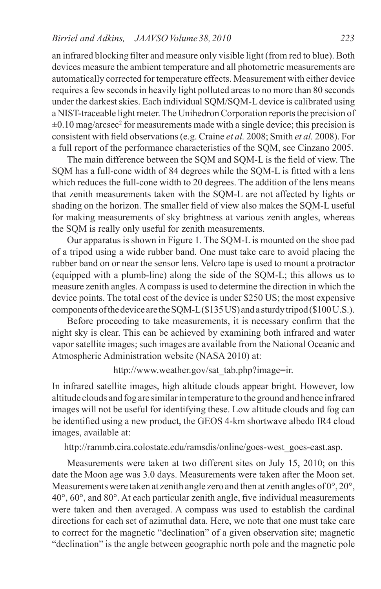an infrared blocking filter and measure only visible light (from red to blue). Both devices measure the ambient temperature and all photometric measurements are automatically corrected for temperature effects. Measurement with either device requires a few seconds in heavily light polluted areas to no more than 80 seconds under the darkest skies. Each individual SQM/SQM-L device is calibrated using a NIST-traceable light meter. The Unihedron Corporation reports the precision of  $\pm 0.10$  mag/arcsec<sup>2</sup> for measurements made with a single device; this precision is consistent with field observations (e.g. Craine *et al.* 2008; Smith *et al.* 2008). For a full report of the performance characteristics of the SQM, see Cinzano 2005.

The main difference between the SQM and SQM-L is the field of view. The SQM has a full-cone width of 84 degrees while the SQM-L is fitted with a lens which reduces the full-cone width to 20 degrees. The addition of the lens means that zenith measurements taken with the SQM-L are not affected by lights or shading on the horizon. The smaller field of view also makes the SQM-L useful for making measurements of sky brightness at various zenith angles, whereas the SQM is really only useful for zenith measurements.

Our apparatus is shown in Figure 1. The SQM-L is mounted on the shoe pad of a tripod using a wide rubber band. One must take care to avoid placing the rubber band on or near the sensor lens. Velcro tape is used to mount a protractor (equipped with a plumb-line) along the side of the SQM-L; this allows us to measure zenith angles. A compass is used to determine the direction in which the device points. The total cost of the device is under \$250 US; the most expensive components of the device are the SQM-L (\$135 US) and a sturdy tripod (\$100 U.S.).

Before proceeding to take measurements, it is necessary confirm that the night sky is clear. This can be achieved by examining both infrared and water vapor satellite images; such images are available from the National Oceanic and Atmospheric Administration website (NASA 2010) at:

http://www.weather.gov/sat\_tab.php?image=ir.

In infrared satellite images, high altitude clouds appear bright. However, low altitude clouds and fog are similar in temperature to the ground and hence infrared images will not be useful for identifying these. Low altitude clouds and fog can be identified using a new product, the GEOS 4-km shortwave albedo IR4 cloud images, available at:

http://rammb.cira.colostate.edu/ramsdis/online/goes-west\_goes-east.asp.

Measurements were taken at two different sites on July 15, 2010; on this date the Moon age was 3.0 days. Measurements were taken after the Moon set. Measurements were taken at zenith angle zero and then at zenith angles of  $0^{\circ}$ ,  $20^{\circ}$ , 40°, 60°, and 80°. At each particular zenith angle, five individual measurements were taken and then averaged. A compass was used to establish the cardinal directions for each set of azimuthal data. Here, we note that one must take care to correct for the magnetic "declination" of a given observation site; magnetic "declination" is the angle between geographic north pole and the magnetic pole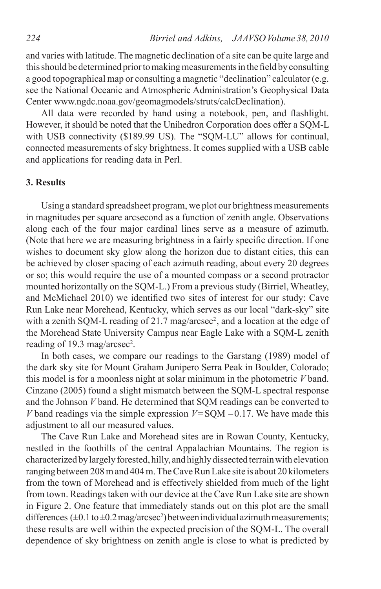and varies with latitude. The magnetic declination of a site can be quite large and this should be determined prior to making measurements in the field by consulting a good topographical map or consulting a magnetic "declination" calculator (e.g. see the National Oceanic and Atmospheric Administration's Geophysical Data Center www.ngdc.noaa.gov/geomagmodels/struts/calcDeclination).

All data were recorded by hand using a notebook, pen, and flashlight. However, it should be noted that the Unihedron Corporation does offer a SQM-L with USB connectivity (\$189.99 US). The "SQM-LU" allows for continual, connected measurements of sky brightness. It comes supplied with a USB cable and applications for reading data in Perl.

#### **3. Results**

Using a standard spreadsheet program, we plot our brightness measurements in magnitudes per square arcsecond as a function of zenith angle. Observations along each of the four major cardinal lines serve as a measure of azimuth. (Note that here we are measuring brightness in a fairly specific direction. If one wishes to document sky glow along the horizon due to distant cities, this can be achieved by closer spacing of each azimuth reading, about every 20 degrees or so; this would require the use of a mounted compass or a second protractor mounted horizontally on the SQM-L.) From a previous study (Birriel, Wheatley, and McMichael 2010) we identified two sites of interest for our study: Cave Run Lake near Morehead, Kentucky, which serves as our local "dark-sky" site with a zenith SQM-L reading of 21.7 mag/arcsec<sup>2</sup>, and a location at the edge of the Morehead State University Campus near Eagle Lake with a SQM-L zenith reading of 19.3 mag/arcsec<sup>2</sup>.

In both cases, we compare our readings to the Garstang (1989) model of the dark sky site for Mount Graham Junipero Serra Peak in Boulder, Colorado; this model is for a moonless night at solar minimum in the photometric *V* band. Cinzano (2005) found a slight mismatch between the SQM-L spectral response and the Johnson *V* band. He determined that SQM readings can be converted to *V* band readings via the simple expression  $V = SQM -0.17$ . We have made this adjustment to all our measured values.

The Cave Run Lake and Morehead sites are in Rowan County, Kentucky, nestled in the foothills of the central Appalachian Mountains. The region is characterized by largely forested, hilly, and highly dissected terrain with elevation ranging between 208 m and 404 m. The Cave Run Lake site is about 20 kilometers from the town of Morehead and is effectively shielded from much of the light from town. Readings taken with our device at the Cave Run Lake site are shown in Figure 2. One feature that immediately stands out on this plot are the small differences  $(\pm 0.1 \text{ to } \pm 0.2 \text{ mag/arcsec}^2)$  between individual azimuth measurements; these results are well within the expected precision of the SQM-L. The overall dependence of sky brightness on zenith angle is close to what is predicted by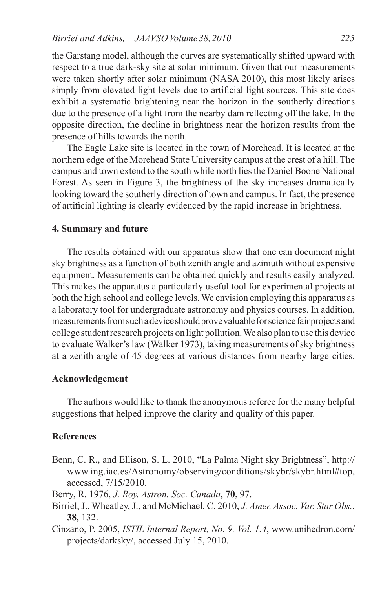the Garstang model, although the curves are systematically shifted upward with respect to a true dark-sky site at solar minimum. Given that our measurements were taken shortly after solar minimum (NASA 2010), this most likely arises simply from elevated light levels due to artificial light sources. This site does exhibit a systematic brightening near the horizon in the southerly directions due to the presence of a light from the nearby dam reflecting off the lake. In the opposite direction, the decline in brightness near the horizon results from the presence of hills towards the north.

The Eagle Lake site is located in the town of Morehead. It is located at the northern edge of the Morehead State University campus at the crest of a hill. The campus and town extend to the south while north lies the Daniel Boone National Forest. As seen in Figure 3, the brightness of the sky increases dramatically looking toward the southerly direction of town and campus. In fact, the presence of artificial lighting is clearly evidenced by the rapid increase in brightness.

#### **4. Summary and future**

The results obtained with our apparatus show that one can document night sky brightness as a function of both zenith angle and azimuth without expensive equipment. Measurements can be obtained quickly and results easily analyzed. This makes the apparatus a particularly useful tool for experimental projects at both the high school and college levels. We envision employing this apparatus as a laboratory tool for undergraduate astronomy and physics courses. In addition, measurements from such a device should prove valuable for science fair projects and college student research projects on light pollution. We also plan to use this device to evaluate Walker's law (Walker 1973), taking measurements of sky brightness at a zenith angle of 45 degrees at various distances from nearby large cities.

#### **Acknowledgement**

The authors would like to thank the anonymous referee for the many helpful suggestions that helped improve the clarity and quality of this paper.

## **References**

Benn, C. R., and Ellison, S. L. 2010, "La Palma Night sky Brightness", http:// www.ing.iac.es/Astronomy/observing/conditions/skybr/skybr.html#top, accessed, 7/15/2010.

Berry, R. 1976, *J. Roy. Astron. Soc. Canada*, **70**, 97.

- Birriel, J., Wheatley, J., and McMichael, C. 2010, *J. Amer. Assoc. Var. Star Obs.*, **38**, 132.
- Cinzano, P. 2005, *ISTIL Internal Report, No. 9, Vol. 1.4*, www.unihedron.com/ projects/darksky/, accessed July 15, 2010.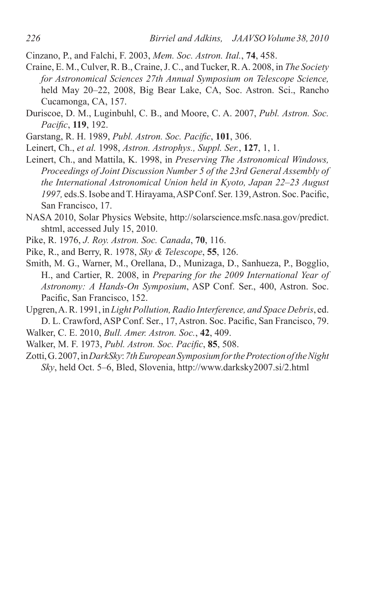Cinzano, P., and Falchi, F. 2003, *Mem. Soc. Astron. Ital.*, **74**, 458.

- Craine, E. M., Culver, R. B., Craine, J. C., and Tucker, R. A. 2008, in *The Society for Astronomical Sciences 27th Annual Symposium on Telescope Science,*  held May 20–22, 2008, Big Bear Lake, CA, Soc. Astron. Sci., Rancho Cucamonga, CA, 157.
- Duriscoe, D. M., Luginbuhl, C. B., and Moore, C. A. 2007, *Publ. Astron. Soc. Pacific*, **119**, 192.
- Garstang, R. H. 1989, *Publ. Astron. Soc. Pacific*, **101**, 306.
- Leinert, Ch., *et al.* 1998, *Astron. Astrophys., Suppl. Ser.*, **127**, 1, 1.
- Leinert, Ch., and Mattila, K. 1998, in *Preserving The Astronomical Windows, Proceedings of Joint Discussion Number 5 of the 23rd General Assembly of the International Astronomical Union held in Kyoto, Japan 22–23 August 1997,* eds.S. Isobe and T. Hirayama, ASP Conf. Ser. 139, Astron. Soc. Pacific, San Francisco, 17.
- NASA 2010, Solar Physics Website, http://solarscience.msfc.nasa.gov/predict. shtml, accessed July 15, 2010.
- Pike, R. 1976, *J. Roy. Astron. Soc. Canada*, **70**, 116.
- Pike, R., and Berry, R. 1978, *Sky & Telescope*, **55**, 126.
- Smith, M. G., Warner, M., Orellana, D., Munizaga, D., Sanhueza, P., Bogglio, H., and Cartier, R. 2008, in *Preparing for the 2009 International Year of Astronomy: A Hands-On Symposium*, ASP Conf. Ser., 400, Astron. Soc. Pacific, San Francisco, 152.
- Upgren, A. R. 1991, in *Light Pollution, Radio Interference, and Space Debris*, ed. D. L. Crawford, ASP Conf. Ser., 17, Astron. Soc. Pacific, San Francisco, 79.
- Walker, C. E. 2010, *Bull. Amer. Astron. Soc.*, **42**, 409.
- Walker, M. F. 1973, *Publ. Astron. Soc. Pacific*, **85**, 508.
- Zotti, G. 2007, in *DarkSky*: *7th European Symposium for the Protection of the Night Sky*, held Oct. 5–6, Bled, Slovenia, http://www.darksky2007.si/2.html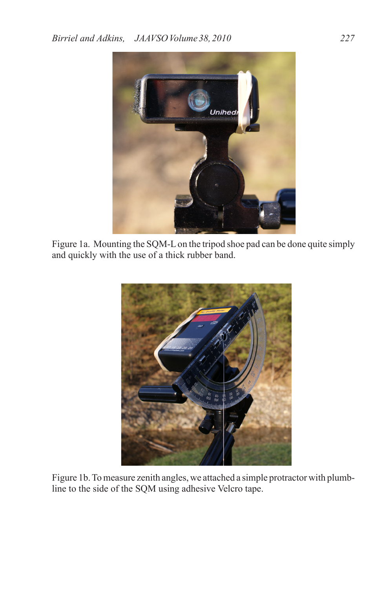

Figure 1a. Mounting the SQM-L on the tripod shoe pad can be done quite simply and quickly with the use of a thick rubber band.



Figure 1b. To measure zenith angles, we attached a simple protractor with plumbline to the side of the SQM using adhesive Velcro tape.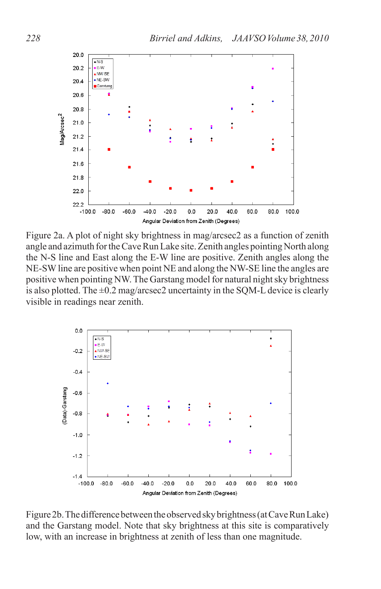

Figure 2a. A plot of night sky brightness in mag/arcsec2 as a function of zenith angle and azimuth for the Cave Run Lake site. Zenith angles pointing North along the N-S line and East along the E-W line are positive. Zenith angles along the NE-SW line are positive when point NE and along the NW-SE line the angles are positive when pointing NW. The Garstang model for natural night sky brightness is also plotted. The  $\pm 0.2$  mag/arcsec2 uncertainty in the SQM-L device is clearly visible in readings near zenith.



Figure 2b. The difference between the observed sky brightness (at Cave Run Lake) and the Garstang model. Note that sky brightness at this site is comparatively low, with an increase in brightness at zenith of less than one magnitude.